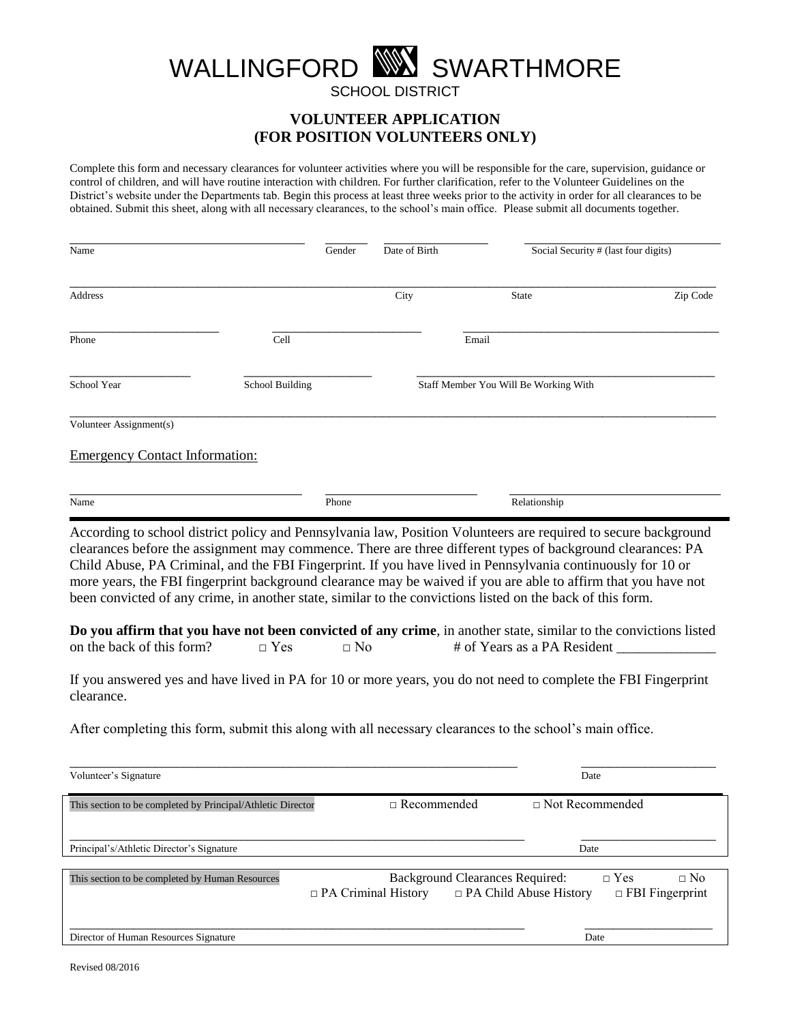## WALLINGFORD WA SWARTHMORE

SCHOOL DISTRICT

**VOLUNTEER APPLICATION (FOR POSITION VOLUNTEERS ONLY)**

Complete this form and necessary clearances for volunteer activities where you will be responsible for the care, supervision, guidance or control of children, and will have routine interaction with children. For further clarification, refer to the Volunteer Guidelines on the District's website under the Departments tab. Begin this process at least three weeks prior to the activity in order for all clearances to be obtained. Submit this sheet, along with all necessary clearances, to the school's main office. Please submit all documents together.

| Name                                  |                 | Gender | Date of Birth | Social Security # (last four digits)                                                                                                                                                                                                                                                                                                                                                                                                                                                                                                                                          |          |
|---------------------------------------|-----------------|--------|---------------|-------------------------------------------------------------------------------------------------------------------------------------------------------------------------------------------------------------------------------------------------------------------------------------------------------------------------------------------------------------------------------------------------------------------------------------------------------------------------------------------------------------------------------------------------------------------------------|----------|
| <b>Address</b>                        |                 |        | City          | State                                                                                                                                                                                                                                                                                                                                                                                                                                                                                                                                                                         | Zip Code |
| Phone                                 | Cell            |        |               | Email                                                                                                                                                                                                                                                                                                                                                                                                                                                                                                                                                                         |          |
| School Year                           | School Building |        |               | Staff Member You Will Be Working With                                                                                                                                                                                                                                                                                                                                                                                                                                                                                                                                         |          |
| Volunteer Assignment(s)               |                 |        |               |                                                                                                                                                                                                                                                                                                                                                                                                                                                                                                                                                                               |          |
| <b>Emergency Contact Information:</b> |                 |        |               |                                                                                                                                                                                                                                                                                                                                                                                                                                                                                                                                                                               |          |
| Name                                  |                 | Phone  |               | Relationship                                                                                                                                                                                                                                                                                                                                                                                                                                                                                                                                                                  |          |
|                                       |                 |        |               | According to school district policy and Pennsylvania law, Position Volunteers are required to secure background<br>clearances before the assignment may commence. There are three different types of background clearances: PA<br>Child Abuse, PA Criminal, and the FBI Fingerprint. If you have lived in Pennsylvania continuously for 10 or<br>more years, the FBI fingerprint background clearance may be waived if you are able to affirm that you have not<br>been convicted of any crime, in another state, similar to the convictions listed on the back of this form. |          |

|                           |              |           | Do you affirm that you have not been convicted of any crime, in another state, similar to the convictions listed |
|---------------------------|--------------|-----------|------------------------------------------------------------------------------------------------------------------|
| on the back of this form? | $\sqcap$ Yes | $\neg$ No | # of Years as a PA Resident                                                                                      |

If you answered yes and have lived in PA for 10 or more years, you do not need to complete the FBI Fingerprint clearance.

After completing this form, submit this along with all necessary clearances to the school's main office.

| Volunteer's Signature                                       | Date                                                                                                  |                                                   |
|-------------------------------------------------------------|-------------------------------------------------------------------------------------------------------|---------------------------------------------------|
| This section to be completed by Principal/Athletic Director | $\Box$ Recommended                                                                                    | $\Box$ Not Recommended                            |
| Principal's/Athletic Director's Signature                   |                                                                                                       | Date                                              |
| This section to be completed by Human Resources             | <b>Background Clearances Required:</b><br>$\Box$ PA Child Abuse History<br>$\Box$ PA Criminal History | $\Box$ Yes<br>$\Box$ No<br>$\Box$ FBI Fingerprint |
| Director of Human Resources Signature                       |                                                                                                       | Date                                              |